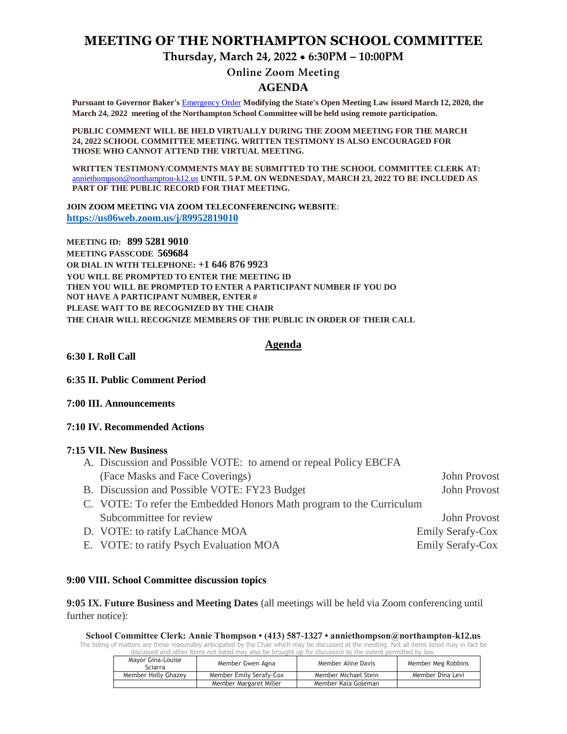## **MEETING OF THE NORTHAMPTON SCHOOL COMMITTEE**

**Thursday, March 24, 2022 6:30PM – 10:00PM**

# **Online Zoom Meeting**

### **AGENDA**

**Pursuant to Governor Baker's** [Emergency Order](about:blank) **Modifying the State's Open Meeting Law issued March 12, 2020, the March 24, 2022 meeting of the Northampton School Committee will be held using remote participation.**

**PUBLIC COMMENT WILL BE HELD VIRTUALLY DURING THE ZOOM MEETING FOR THE MARCH 24, 2022 SCHOOL COMMITTEE MEETING. WRITTEN TESTIMONY IS ALSO ENCOURAGED FOR THOSE WHO CANNOT ATTEND THE VIRTUAL MEETING.**

**WRITTEN TESTIMONY/COMMENTS MAY BE SUBMITTED TO THE SCHOOL COMMITTEE CLERK AT:** [anniethompson@northampton-k12.us](about:blank) **UNTIL 5 P.M. ON WEDNESDAY, MARCH 23, 2022 TO BE INCLUDED AS PART OF THE PUBLIC RECORD FOR THAT MEETING.**

**JOIN ZOOM MEETING VIA ZOOM TELECONFERENCING WEBSITE**: **<https://us06web.zoom.us/j/89952819010>**

**MEETING ID: 899 5281 9010 MEETING PASSCODE 569684 OR DIAL IN WITH TELEPHONE: +1 646 876 9923 YOU WILL BE PROMPTED TO ENTER THE MEETING ID THEN YOU WILL BE PROMPTED TO ENTER A PARTICIPANT NUMBER IF YOU DO NOT HAVE A PARTICIPANT NUMBER, ENTER # PLEASE WAIT TO BE RECOGNIZED BY THE CHAIR THE CHAIR WILL RECOGNIZE MEMBERS OF THE PUBLIC IN ORDER OF THEIR CALL**

## **Agenda**

**6:30 I. Roll Call** 

**6:35 II. Public Comment Period** 

**7:00 III. Announcements** 

### **7:10 IV. Recommended Actions**

### **7:15 VII. New Business**

| A. Discussion and Possible VOTE: to amend or repeal Policy EBCFA     |                         |  |
|----------------------------------------------------------------------|-------------------------|--|
| (Face Masks and Face Coverings)                                      | John Provost            |  |
| B. Discussion and Possible VOTE: FY23 Budget                         | John Provost            |  |
| C. VOTE: To refer the Embedded Honors Math program to the Curriculum |                         |  |
| Subcommittee for review                                              | John Provost            |  |
| D. VOTE: to ratify LaChance MOA                                      | <b>Emily Serafy-Cox</b> |  |
| E. VOTE: to ratify Psych Evaluation MOA                              | <b>Emily Serafy-Cox</b> |  |

#### **9:00 VIII. School Committee discussion topics**

**9:05 IX. Future Business and Meeting Dates** (all meetings will be held via Zoom conferencing until further notice):

**School Committee Clerk: Annie Thompson • (413) 587-1327 • anniethompson@northampton-k12.us** The listing of matters are those reasonably anticipated by the Chair which may be discussed at the meeting. Not all items listed may in fact be discussed and other items not listed may also be brought up for discussion to the extent permitted by law.

| Mayor Gina-Louise<br>Sciarra | Member Gwen Agna        | Member Aline Davis   | Member Meg Robbins |
|------------------------------|-------------------------|----------------------|--------------------|
| Member Holly Ghazey          | Member Emily Serafy-Cox | Member Michael Stein | Member Dina Levi   |
|                              | Member Margaret Miller  | Member Kaja Goleman  |                    |